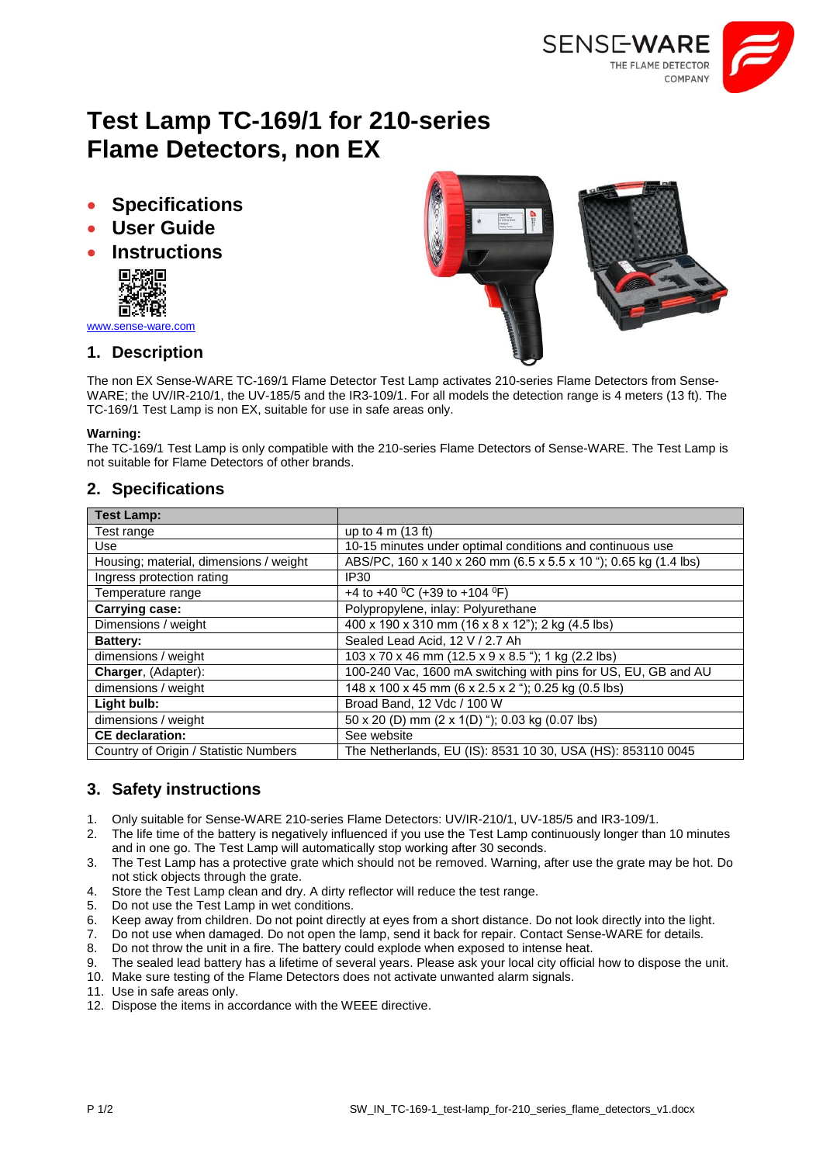

# **Test Lamp TC-169/1 for 210-series Flame Detectors, non EX**

- **Specifications**
- **User Guide**
- **Instructions**



[www.sense-ware.com](http://www.sense-ware.com/)

# **1. Description**

The non EX Sense-WARE TC-169/1 Flame Detector Test Lamp activates 210-series Flame Detectors from Sense-WARE; the UV/IR-210/1, the UV-185/5 and the IR3-109/1. For all models the detection range is 4 meters (13 ft). The TC-169/1 Test Lamp is non EX, suitable for use in safe areas only.

#### **Warning:**

The TC-169/1 Test Lamp is only compatible with the 210-series Flame Detectors of Sense-WARE. The Test Lamp is not suitable for Flame Detectors of other brands.

### **2. Specifications**

| <b>Test Lamp:</b>                      |                                                                  |
|----------------------------------------|------------------------------------------------------------------|
| Test range                             | up to $4 \text{ m}$ (13 ft)                                      |
| Use                                    | 10-15 minutes under optimal conditions and continuous use        |
| Housing; material, dimensions / weight | ABS/PC, 160 x 140 x 260 mm (6.5 x 5.5 x 10 "); 0.65 kg (1.4 lbs) |
| Ingress protection rating              | IP30                                                             |
| Temperature range                      | +4 to +40 <sup>o</sup> C (+39 to +104 <sup>o</sup> F)            |
| <b>Carrying case:</b>                  | Polypropylene, inlay: Polyurethane                               |
| Dimensions / weight                    | 400 x 190 x 310 mm (16 x 8 x 12"); 2 kg (4.5 lbs)                |
| <b>Battery:</b>                        | Sealed Lead Acid, 12 V / 2.7 Ah                                  |
| dimensions / weight                    | 103 x 70 x 46 mm (12.5 x 9 x 8.5 "); 1 kg (2.2 lbs)              |
| Charger, (Adapter):                    | 100-240 Vac, 1600 mA switching with pins for US, EU, GB and AU   |
| dimensions / weight                    | 148 x 100 x 45 mm (6 x 2.5 x 2 "); 0.25 kg (0.5 lbs)             |
| Light bulb:                            | Broad Band, 12 Vdc / 100 W                                       |
| dimensions / weight                    | 50 x 20 (D) mm (2 x 1(D) "); 0.03 kg (0.07 lbs)                  |
| <b>CE</b> declaration:                 | See website                                                      |
| Country of Origin / Statistic Numbers  | The Netherlands, EU (IS): 8531 10 30, USA (HS): 853110 0045      |

# **3. Safety instructions**

- 1. Only suitable for Sense-WARE 210-series Flame Detectors: UV/IR-210/1, UV-185/5 and IR3-109/1.
- 2. The life time of the battery is negatively influenced if you use the Test Lamp continuously longer than 10 minutes and in one go. The Test Lamp will automatically stop working after 30 seconds.
- 3. The Test Lamp has a protective grate which should not be removed. Warning, after use the grate may be hot. Do not stick objects through the grate.
- 4. Store the Test Lamp clean and dry. A dirty reflector will reduce the test range.
- 5. Do not use the Test Lamp in wet conditions.
- 6. Keep away from children. Do not point directly at eyes from a short distance. Do not look directly into the light.
- 7. Do not use when damaged. Do not open the lamp, send it back for repair. Contact Sense-WARE for details.
- 8. Do not throw the unit in a fire. The battery could explode when exposed to intense heat.
- 9. The sealed lead battery has a lifetime of several years. Please ask your local city official how to dispose the unit.
- 10. Make sure testing of the Flame Detectors does not activate unwanted alarm signals.
- 11. Use in safe areas only.
- 12. Dispose the items in accordance with the WEEE directive.